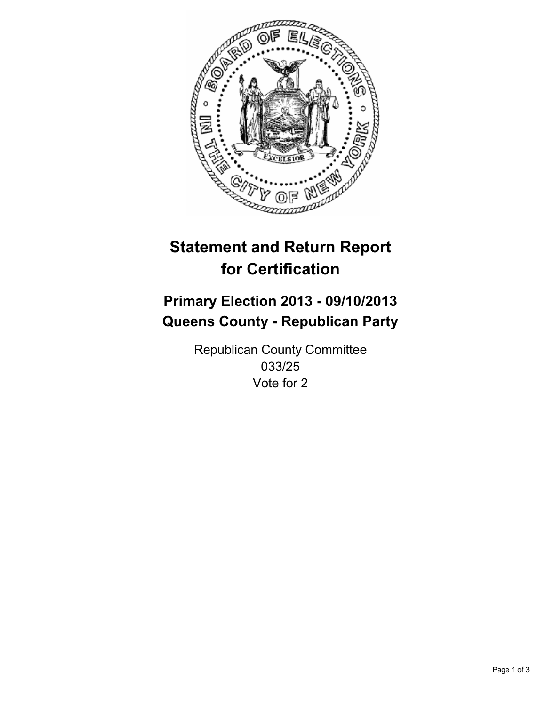

# **Statement and Return Report for Certification**

# **Primary Election 2013 - 09/10/2013 Queens County - Republican Party**

Republican County Committee 033/25 Vote for 2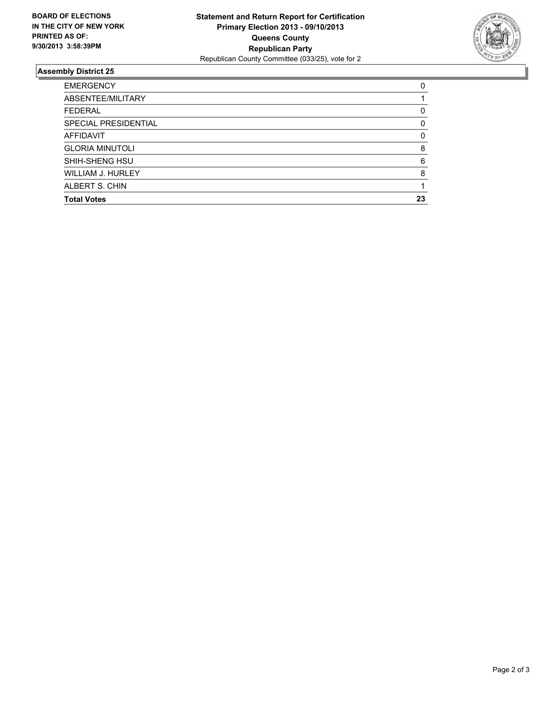

## **Assembly District 25**

| 0        |
|----------|
|          |
| 0        |
| 0        |
| $\Omega$ |
| 8        |
| 6        |
| 8        |
|          |
| 23       |
|          |